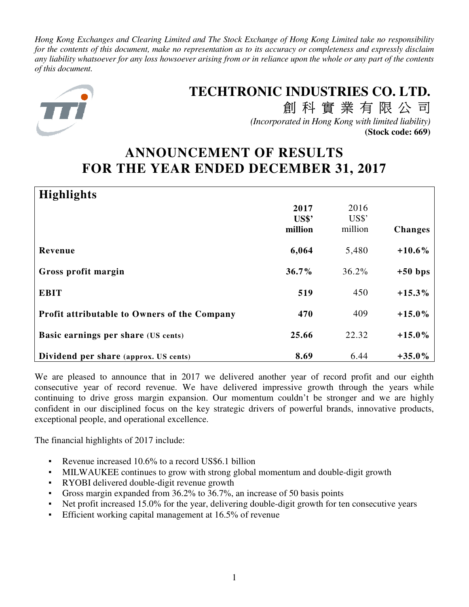*Hong Kong Exchanges and Clearing Limited and The Stock Exchange of Hong Kong Limited take no responsibility for the contents of this document, make no representation as to its accuracy or completeness and expressly disclaim any liability whatsoever for any loss howsoever arising from or in reliance upon the whole or any part of the contents of this document.* 



# **TECHTRONIC INDUSTRIES CO. LTD.**

創科實業有限公司 *(Incorporated in Hong Kong with limited liability)* **(Stock code: 669)**

# **ANNOUNCEMENT OF RESULTS FOR THE YEAR ENDED DECEMBER 31, 2017**

| <b>Highlights</b>                            |                                   |         |                |
|----------------------------------------------|-----------------------------------|---------|----------------|
|                                              | 2017                              | 2016    |                |
|                                              | $\mathbf{U}\mathbf{S}\mathbf{\$}$ | US\$'   |                |
|                                              | million                           | million | <b>Changes</b> |
| Revenue                                      | 6,064                             | 5,480   | $+10.6%$       |
| Gross profit margin                          | $36.7\%$                          | 36.2%   | $+50$ bps      |
| <b>EBIT</b>                                  | 519                               | 450     | $+15.3%$       |
| Profit attributable to Owners of the Company | 470                               | 409     | $+15.0%$       |
| Basic earnings per share (US cents)          | 25.66                             | 22.32   | $+15.0%$       |
| Dividend per share (approx. US cents)        | 8.69                              | 6.44    | $+35.0\%$      |

We are pleased to announce that in 2017 we delivered another year of record profit and our eighth consecutive year of record revenue. We have delivered impressive growth through the years while continuing to drive gross margin expansion. Our momentum couldn't be stronger and we are highly confident in our disciplined focus on the key strategic drivers of powerful brands, innovative products, exceptional people, and operational excellence.

The financial highlights of 2017 include:

- Revenue increased 10.6% to a record US\$6.1 billion
- MILWAUKEE continues to grow with strong global momentum and double-digit growth
- RYOBI delivered double-digit revenue growth
- Gross margin expanded from 36.2% to 36.7%, an increase of 50 basis points
- Net profit increased 15.0% for the year, delivering double-digit growth for ten consecutive years
- Efficient working capital management at 16.5% of revenue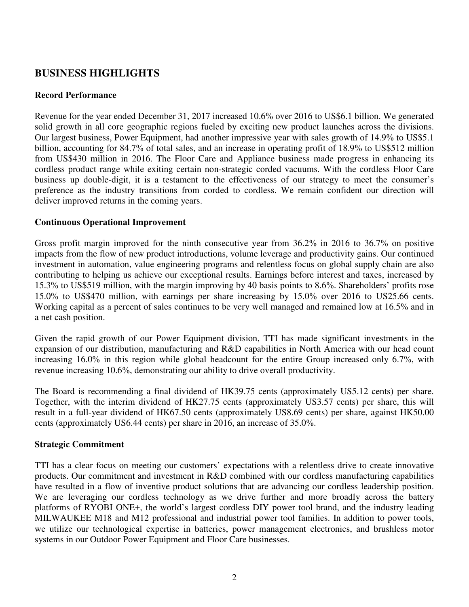# **BUSINESS HIGHLIGHTS**

### **Record Performance**

Revenue for the year ended December 31, 2017 increased 10.6% over 2016 to US\$6.1 billion. We generated solid growth in all core geographic regions fueled by exciting new product launches across the divisions. Our largest business, Power Equipment, had another impressive year with sales growth of 14.9% to US\$5.1 billion, accounting for 84.7% of total sales, and an increase in operating profit of 18.9% to US\$512 million from US\$430 million in 2016. The Floor Care and Appliance business made progress in enhancing its cordless product range while exiting certain non-strategic corded vacuums. With the cordless Floor Care business up double-digit, it is a testament to the effectiveness of our strategy to meet the consumer's preference as the industry transitions from corded to cordless. We remain confident our direction will deliver improved returns in the coming years.

### **Continuous Operational Improvement**

Gross profit margin improved for the ninth consecutive year from 36.2% in 2016 to 36.7% on positive impacts from the flow of new product introductions, volume leverage and productivity gains. Our continued investment in automation, value engineering programs and relentless focus on global supply chain are also contributing to helping us achieve our exceptional results. Earnings before interest and taxes, increased by 15.3% to US\$519 million, with the margin improving by 40 basis points to 8.6%. Shareholders' profits rose 15.0% to US\$470 million, with earnings per share increasing by 15.0% over 2016 to US25.66 cents. Working capital as a percent of sales continues to be very well managed and remained low at 16.5% and in a net cash position.

Given the rapid growth of our Power Equipment division, TTI has made significant investments in the expansion of our distribution, manufacturing and R&D capabilities in North America with our head count increasing 16.0% in this region while global headcount for the entire Group increased only 6.7%, with revenue increasing 10.6%, demonstrating our ability to drive overall productivity.

The Board is recommending a final dividend of HK39.75 cents (approximately US5.12 cents) per share. Together, with the interim dividend of HK27.75 cents (approximately US3.57 cents) per share, this will result in a full-year dividend of HK67.50 cents (approximately US8.69 cents) per share, against HK50.00 cents (approximately US6.44 cents) per share in 2016, an increase of 35.0%.

### **Strategic Commitment**

TTI has a clear focus on meeting our customers' expectations with a relentless drive to create innovative products. Our commitment and investment in R&D combined with our cordless manufacturing capabilities have resulted in a flow of inventive product solutions that are advancing our cordless leadership position. We are leveraging our cordless technology as we drive further and more broadly across the battery platforms of RYOBI ONE+, the world's largest cordless DIY power tool brand, and the industry leading MILWAUKEE M18 and M12 professional and industrial power tool families. In addition to power tools, we utilize our technological expertise in batteries, power management electronics, and brushless motor systems in our Outdoor Power Equipment and Floor Care businesses.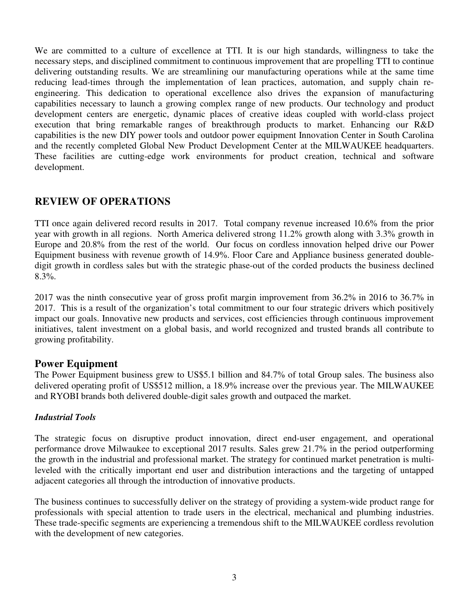We are committed to a culture of excellence at TTI. It is our high standards, willingness to take the necessary steps, and disciplined commitment to continuous improvement that are propelling TTI to continue delivering outstanding results. We are streamlining our manufacturing operations while at the same time reducing lead-times through the implementation of lean practices, automation, and supply chain reengineering. This dedication to operational excellence also drives the expansion of manufacturing capabilities necessary to launch a growing complex range of new products. Our technology and product development centers are energetic, dynamic places of creative ideas coupled with world-class project execution that bring remarkable ranges of breakthrough products to market. Enhancing our R&D capabilities is the new DIY power tools and outdoor power equipment Innovation Center in South Carolina and the recently completed Global New Product Development Center at the MILWAUKEE headquarters. These facilities are cutting-edge work environments for product creation, technical and software development.

# **REVIEW OF OPERATIONS**

TTI once again delivered record results in 2017. Total company revenue increased 10.6% from the prior year with growth in all regions. North America delivered strong 11.2% growth along with 3.3% growth in Europe and 20.8% from the rest of the world. Our focus on cordless innovation helped drive our Power Equipment business with revenue growth of 14.9%. Floor Care and Appliance business generated doubledigit growth in cordless sales but with the strategic phase-out of the corded products the business declined 8.3%.

2017 was the ninth consecutive year of gross profit margin improvement from 36.2% in 2016 to 36.7% in 2017. This is a result of the organization's total commitment to our four strategic drivers which positively impact our goals. Innovative new products and services, cost efficiencies through continuous improvement initiatives, talent investment on a global basis, and world recognized and trusted brands all contribute to growing profitability.

## **Power Equipment**

The Power Equipment business grew to US\$5.1 billion and 84.7% of total Group sales. The business also delivered operating profit of US\$512 million, a 18.9% increase over the previous year. The MILWAUKEE and RYOBI brands both delivered double-digit sales growth and outpaced the market.

### *Industrial Tools*

The strategic focus on disruptive product innovation, direct end-user engagement, and operational performance drove Milwaukee to exceptional 2017 results. Sales grew 21.7% in the period outperforming the growth in the industrial and professional market. The strategy for continued market penetration is multileveled with the critically important end user and distribution interactions and the targeting of untapped adjacent categories all through the introduction of innovative products.

The business continues to successfully deliver on the strategy of providing a system-wide product range for professionals with special attention to trade users in the electrical, mechanical and plumbing industries. These trade-specific segments are experiencing a tremendous shift to the MILWAUKEE cordless revolution with the development of new categories.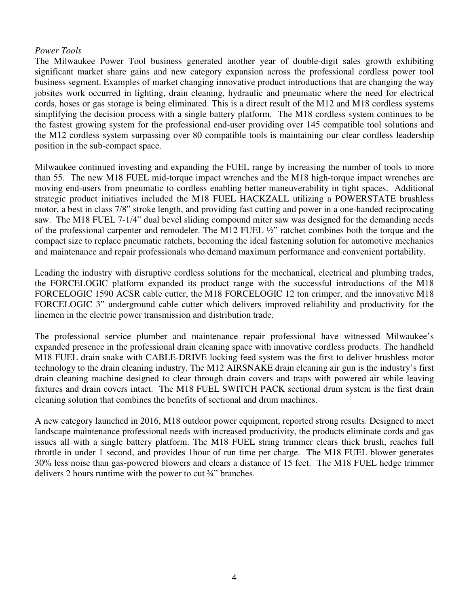### *Power Tools*

The Milwaukee Power Tool business generated another year of double-digit sales growth exhibiting significant market share gains and new category expansion across the professional cordless power tool business segment. Examples of market changing innovative product introductions that are changing the way jobsites work occurred in lighting, drain cleaning, hydraulic and pneumatic where the need for electrical cords, hoses or gas storage is being eliminated. This is a direct result of the M12 and M18 cordless systems simplifying the decision process with a single battery platform. The M18 cordless system continues to be the fastest growing system for the professional end-user providing over 145 compatible tool solutions and the M12 cordless system surpassing over 80 compatible tools is maintaining our clear cordless leadership position in the sub-compact space.

Milwaukee continued investing and expanding the FUEL range by increasing the number of tools to more than 55. The new M18 FUEL mid-torque impact wrenches and the M18 high-torque impact wrenches are moving end-users from pneumatic to cordless enabling better maneuverability in tight spaces. Additional strategic product initiatives included the M18 FUEL HACKZALL utilizing a POWERSTATE brushless motor, a best in class 7/8" stroke length, and providing fast cutting and power in a one-handed reciprocating saw. The M18 FUEL 7-1/4" dual bevel sliding compound miter saw was designed for the demanding needs of the professional carpenter and remodeler. The M12 FUEL ½" ratchet combines both the torque and the compact size to replace pneumatic ratchets, becoming the ideal fastening solution for automotive mechanics and maintenance and repair professionals who demand maximum performance and convenient portability.

Leading the industry with disruptive cordless solutions for the mechanical, electrical and plumbing trades, the FORCELOGIC platform expanded its product range with the successful introductions of the M18 FORCELOGIC 1590 ACSR cable cutter, the M18 FORCELOGIC 12 ton crimper, and the innovative M18 FORCELOGIC 3" underground cable cutter which delivers improved reliability and productivity for the linemen in the electric power transmission and distribution trade.

The professional service plumber and maintenance repair professional have witnessed Milwaukee's expanded presence in the professional drain cleaning space with innovative cordless products. The handheld M18 FUEL drain snake with CABLE-DRIVE locking feed system was the first to deliver brushless motor technology to the drain cleaning industry. The M12 AIRSNAKE drain cleaning air gun is the industry's first drain cleaning machine designed to clear through drain covers and traps with powered air while leaving fixtures and drain covers intact. The M18 FUEL SWITCH PACK sectional drum system is the first drain cleaning solution that combines the benefits of sectional and drum machines.

A new category launched in 2016, M18 outdoor power equipment, reported strong results. Designed to meet landscape maintenance professional needs with increased productivity, the products eliminate cords and gas issues all with a single battery platform. The M18 FUEL string trimmer clears thick brush, reaches full throttle in under 1 second, and provides 1hour of run time per charge. The M18 FUEL blower generates 30% less noise than gas-powered blowers and clears a distance of 15 feet. The M18 FUEL hedge trimmer delivers 2 hours runtime with the power to cut ¾" branches.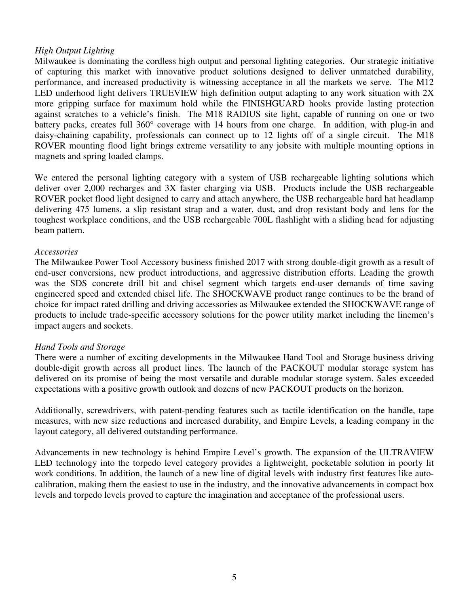### *High Output Lighting*

Milwaukee is dominating the cordless high output and personal lighting categories. Our strategic initiative of capturing this market with innovative product solutions designed to deliver unmatched durability, performance, and increased productivity is witnessing acceptance in all the markets we serve. The M12 LED underhood light delivers TRUEVIEW high definition output adapting to any work situation with 2X more gripping surface for maximum hold while the FINISHGUARD hooks provide lasting protection against scratches to a vehicle's finish. The M18 RADIUS site light, capable of running on one or two battery packs, creates full 360° coverage with 14 hours from one charge. In addition, with plug-in and daisy-chaining capability, professionals can connect up to 12 lights off of a single circuit. The M18 ROVER mounting flood light brings extreme versatility to any jobsite with multiple mounting options in magnets and spring loaded clamps.

We entered the personal lighting category with a system of USB rechargeable lighting solutions which deliver over 2,000 recharges and 3X faster charging via USB. Products include the USB rechargeable ROVER pocket flood light designed to carry and attach anywhere, the USB rechargeable hard hat headlamp delivering 475 lumens, a slip resistant strap and a water, dust, and drop resistant body and lens for the toughest workplace conditions, and the USB rechargeable 700L flashlight with a sliding head for adjusting beam pattern.

### *Accessories*

The Milwaukee Power Tool Accessory business finished 2017 with strong double-digit growth as a result of end-user conversions, new product introductions, and aggressive distribution efforts. Leading the growth was the SDS concrete drill bit and chisel segment which targets end-user demands of time saving engineered speed and extended chisel life. The SHOCKWAVE product range continues to be the brand of choice for impact rated drilling and driving accessories as Milwaukee extended the SHOCKWAVE range of products to include trade-specific accessory solutions for the power utility market including the linemen's impact augers and sockets.

### *Hand Tools and Storage*

There were a number of exciting developments in the Milwaukee Hand Tool and Storage business driving double-digit growth across all product lines. The launch of the PACKOUT modular storage system has delivered on its promise of being the most versatile and durable modular storage system. Sales exceeded expectations with a positive growth outlook and dozens of new PACKOUT products on the horizon.

Additionally, screwdrivers, with patent-pending features such as tactile identification on the handle, tape measures, with new size reductions and increased durability, and Empire Levels, a leading company in the layout category, all delivered outstanding performance.

Advancements in new technology is behind Empire Level's growth. The expansion of the ULTRAVIEW LED technology into the torpedo level category provides a lightweight, pocketable solution in poorly lit work conditions. In addition, the launch of a new line of digital levels with industry first features like autocalibration, making them the easiest to use in the industry, and the innovative advancements in compact box levels and torpedo levels proved to capture the imagination and acceptance of the professional users.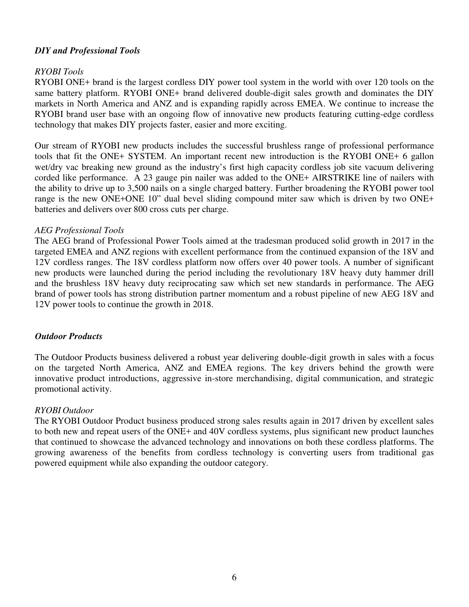### *DIY and Professional Tools*

### *RYOBI Tools*

RYOBI ONE+ brand is the largest cordless DIY power tool system in the world with over 120 tools on the same battery platform. RYOBI ONE+ brand delivered double-digit sales growth and dominates the DIY markets in North America and ANZ and is expanding rapidly across EMEA. We continue to increase the RYOBI brand user base with an ongoing flow of innovative new products featuring cutting-edge cordless technology that makes DIY projects faster, easier and more exciting.

Our stream of RYOBI new products includes the successful brushless range of professional performance tools that fit the ONE+ SYSTEM. An important recent new introduction is the RYOBI ONE+ 6 gallon wet/dry vac breaking new ground as the industry's first high capacity cordless job site vacuum delivering corded like performance. A 23 gauge pin nailer was added to the ONE+ AIRSTRIKE line of nailers with the ability to drive up to 3,500 nails on a single charged battery. Further broadening the RYOBI power tool range is the new ONE+ONE 10" dual bevel sliding compound miter saw which is driven by two ONE+ batteries and delivers over 800 cross cuts per charge.

#### *AEG Professional Tools*

The AEG brand of Professional Power Tools aimed at the tradesman produced solid growth in 2017 in the targeted EMEA and ANZ regions with excellent performance from the continued expansion of the 18V and 12V cordless ranges. The 18V cordless platform now offers over 40 power tools. A number of significant new products were launched during the period including the revolutionary 18V heavy duty hammer drill and the brushless 18V heavy duty reciprocating saw which set new standards in performance. The AEG brand of power tools has strong distribution partner momentum and a robust pipeline of new AEG 18V and 12V power tools to continue the growth in 2018.

#### *Outdoor Products*

The Outdoor Products business delivered a robust year delivering double-digit growth in sales with a focus on the targeted North America, ANZ and EMEA regions. The key drivers behind the growth were innovative product introductions, aggressive in-store merchandising, digital communication, and strategic promotional activity.

#### *RYOBI Outdoor*

The RYOBI Outdoor Product business produced strong sales results again in 2017 driven by excellent sales to both new and repeat users of the ONE+ and 40V cordless systems, plus significant new product launches that continued to showcase the advanced technology and innovations on both these cordless platforms. The growing awareness of the benefits from cordless technology is converting users from traditional gas powered equipment while also expanding the outdoor category.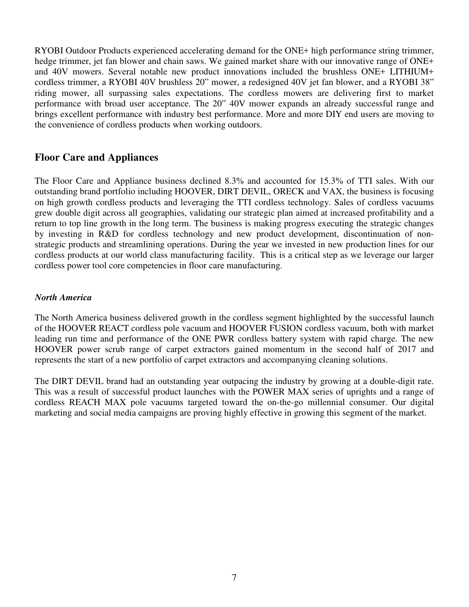RYOBI Outdoor Products experienced accelerating demand for the ONE+ high performance string trimmer, hedge trimmer, jet fan blower and chain saws. We gained market share with our innovative range of ONE+ and 40V mowers. Several notable new product innovations included the brushless ONE+ LITHIUM+ cordless trimmer, a RYOBI 40V brushless 20" mower, a redesigned 40V jet fan blower, and a RYOBI 38" riding mower, all surpassing sales expectations. The cordless mowers are delivering first to market performance with broad user acceptance. The 20" 40V mower expands an already successful range and brings excellent performance with industry best performance. More and more DIY end users are moving to the convenience of cordless products when working outdoors.

# **Floor Care and Appliances**

The Floor Care and Appliance business declined 8.3% and accounted for 15.3% of TTI sales. With our outstanding brand portfolio including HOOVER, DIRT DEVIL, ORECK and VAX, the business is focusing on high growth cordless products and leveraging the TTI cordless technology. Sales of cordless vacuums grew double digit across all geographies, validating our strategic plan aimed at increased profitability and a return to top line growth in the long term. The business is making progress executing the strategic changes by investing in R&D for cordless technology and new product development, discontinuation of nonstrategic products and streamlining operations. During the year we invested in new production lines for our cordless products at our world class manufacturing facility. This is a critical step as we leverage our larger cordless power tool core competencies in floor care manufacturing.

### *North America*

The North America business delivered growth in the cordless segment highlighted by the successful launch of the HOOVER REACT cordless pole vacuum and HOOVER FUSION cordless vacuum, both with market leading run time and performance of the ONE PWR cordless battery system with rapid charge. The new HOOVER power scrub range of carpet extractors gained momentum in the second half of 2017 and represents the start of a new portfolio of carpet extractors and accompanying cleaning solutions.

The DIRT DEVIL brand had an outstanding year outpacing the industry by growing at a double-digit rate. This was a result of successful product launches with the POWER MAX series of uprights and a range of cordless REACH MAX pole vacuums targeted toward the on-the-go millennial consumer. Our digital marketing and social media campaigns are proving highly effective in growing this segment of the market.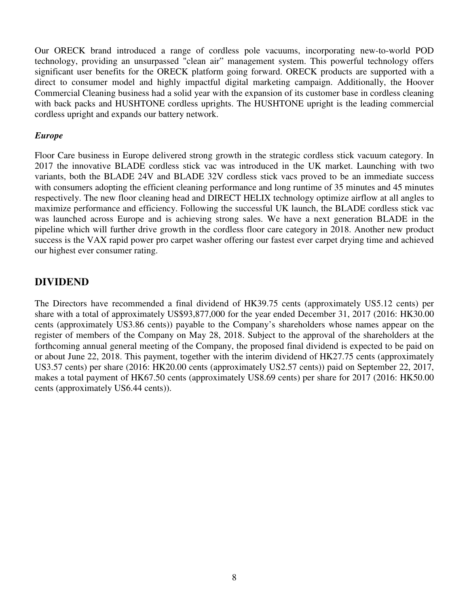Our ORECK brand introduced a range of cordless pole vacuums, incorporating new-to-world POD technology, providing an unsurpassed "clean air" management system. This powerful technology offers significant user benefits for the ORECK platform going forward. ORECK products are supported with a direct to consumer model and highly impactful digital marketing campaign. Additionally, the Hoover Commercial Cleaning business had a solid year with the expansion of its customer base in cordless cleaning with back packs and HUSHTONE cordless uprights. The HUSHTONE upright is the leading commercial cordless upright and expands our battery network.

### *Europe*

Floor Care business in Europe delivered strong growth in the strategic cordless stick vacuum category. In 2017 the innovative BLADE cordless stick vac was introduced in the UK market. Launching with two variants, both the BLADE 24V and BLADE 32V cordless stick vacs proved to be an immediate success with consumers adopting the efficient cleaning performance and long runtime of 35 minutes and 45 minutes respectively. The new floor cleaning head and DIRECT HELIX technology optimize airflow at all angles to maximize performance and efficiency. Following the successful UK launch, the BLADE cordless stick vac was launched across Europe and is achieving strong sales. We have a next generation BLADE in the pipeline which will further drive growth in the cordless floor care category in 2018. Another new product success is the VAX rapid power pro carpet washer offering our fastest ever carpet drying time and achieved our highest ever consumer rating.

# **DIVIDEND**

The Directors have recommended a final dividend of HK39.75 cents (approximately US5.12 cents) per share with a total of approximately US\$93,877,000 for the year ended December 31, 2017 (2016: HK30.00 cents (approximately US3.86 cents)) payable to the Company's shareholders whose names appear on the register of members of the Company on May 28, 2018. Subject to the approval of the shareholders at the forthcoming annual general meeting of the Company, the proposed final dividend is expected to be paid on or about June 22, 2018. This payment, together with the interim dividend of HK27.75 cents (approximately US3.57 cents) per share (2016: HK20.00 cents (approximately US2.57 cents)) paid on September 22, 2017, makes a total payment of HK67.50 cents (approximately US8.69 cents) per share for 2017 (2016: HK50.00 cents (approximately US6.44 cents)).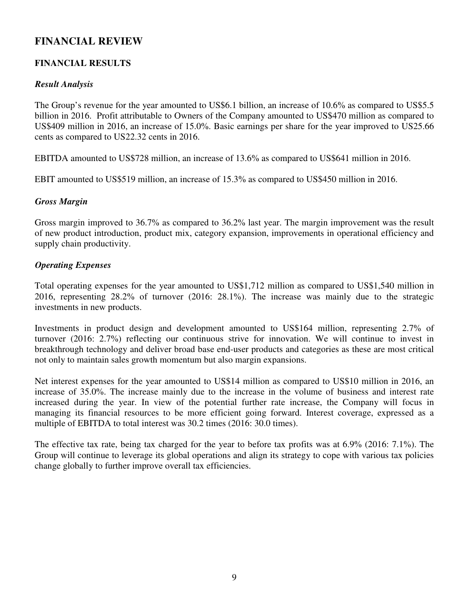# **FINANCIAL REVIEW**

## **FINANCIAL RESULTS**

### *Result Analysis*

The Group's revenue for the year amounted to US\$6.1 billion, an increase of 10.6% as compared to US\$5.5 billion in 2016. Profit attributable to Owners of the Company amounted to US\$470 million as compared to US\$409 million in 2016, an increase of 15.0%. Basic earnings per share for the year improved to US25.66 cents as compared to US22.32 cents in 2016.

EBITDA amounted to US\$728 million, an increase of 13.6% as compared to US\$641 million in 2016.

EBIT amounted to US\$519 million, an increase of 15.3% as compared to US\$450 million in 2016.

### *Gross Margin*

Gross margin improved to 36.7% as compared to 36.2% last year. The margin improvement was the result of new product introduction, product mix, category expansion, improvements in operational efficiency and supply chain productivity.

### *Operating Expenses*

Total operating expenses for the year amounted to US\$1,712 million as compared to US\$1,540 million in 2016, representing 28.2% of turnover (2016: 28.1%). The increase was mainly due to the strategic investments in new products.

Investments in product design and development amounted to US\$164 million, representing 2.7% of turnover (2016: 2.7%) reflecting our continuous strive for innovation. We will continue to invest in breakthrough technology and deliver broad base end-user products and categories as these are most critical not only to maintain sales growth momentum but also margin expansions.

Net interest expenses for the year amounted to US\$14 million as compared to US\$10 million in 2016, an increase of 35.0%. The increase mainly due to the increase in the volume of business and interest rate increased during the year. In view of the potential further rate increase, the Company will focus in managing its financial resources to be more efficient going forward. Interest coverage, expressed as a multiple of EBITDA to total interest was 30.2 times (2016: 30.0 times).

The effective tax rate, being tax charged for the year to before tax profits was at 6.9% (2016: 7.1%). The Group will continue to leverage its global operations and align its strategy to cope with various tax policies change globally to further improve overall tax efficiencies.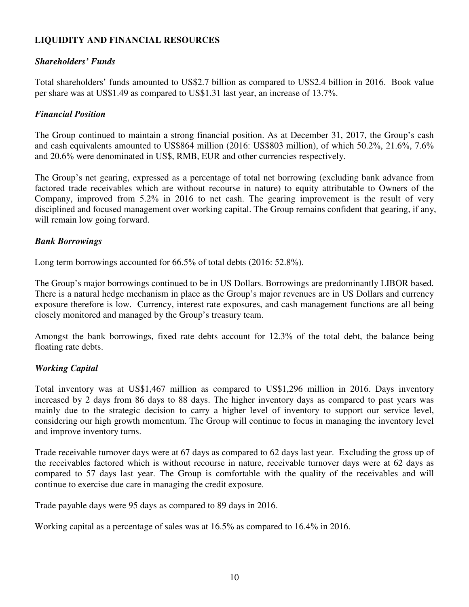### **LIQUIDITY AND FINANCIAL RESOURCES**

### *Shareholders' Funds*

Total shareholders' funds amounted to US\$2.7 billion as compared to US\$2.4 billion in 2016. Book value per share was at US\$1.49 as compared to US\$1.31 last year, an increase of 13.7%.

### *Financial Position*

The Group continued to maintain a strong financial position. As at December 31, 2017, the Group's cash and cash equivalents amounted to US\$864 million (2016: US\$803 million), of which 50.2%, 21.6%, 7.6% and 20.6% were denominated in US\$, RMB, EUR and other currencies respectively.

The Group's net gearing, expressed as a percentage of total net borrowing (excluding bank advance from factored trade receivables which are without recourse in nature) to equity attributable to Owners of the Company, improved from 5.2% in 2016 to net cash. The gearing improvement is the result of very disciplined and focused management over working capital. The Group remains confident that gearing, if any, will remain low going forward.

### *Bank Borrowings*

Long term borrowings accounted for 66.5% of total debts (2016: 52.8%).

The Group's major borrowings continued to be in US Dollars. Borrowings are predominantly LIBOR based. There is a natural hedge mechanism in place as the Group's major revenues are in US Dollars and currency exposure therefore is low. Currency, interest rate exposures, and cash management functions are all being closely monitored and managed by the Group's treasury team.

Amongst the bank borrowings, fixed rate debts account for 12.3% of the total debt, the balance being floating rate debts.

### *Working Capital*

Total inventory was at US\$1,467 million as compared to US\$1,296 million in 2016. Days inventory increased by 2 days from 86 days to 88 days. The higher inventory days as compared to past years was mainly due to the strategic decision to carry a higher level of inventory to support our service level, considering our high growth momentum. The Group will continue to focus in managing the inventory level and improve inventory turns.

Trade receivable turnover days were at 67 days as compared to 62 days last year. Excluding the gross up of the receivables factored which is without recourse in nature, receivable turnover days were at 62 days as compared to 57 days last year. The Group is comfortable with the quality of the receivables and will continue to exercise due care in managing the credit exposure.

Trade payable days were 95 days as compared to 89 days in 2016.

Working capital as a percentage of sales was at 16.5% as compared to 16.4% in 2016.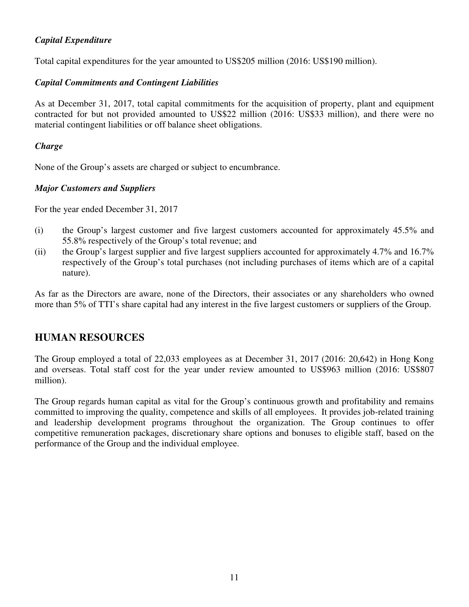## *Capital Expenditure*

Total capital expenditures for the year amounted to US\$205 million (2016: US\$190 million).

# *Capital Commitments and Contingent Liabilities*

As at December 31, 2017, total capital commitments for the acquisition of property, plant and equipment contracted for but not provided amounted to US\$22 million (2016: US\$33 million), and there were no material contingent liabilities or off balance sheet obligations.

# *Charge*

None of the Group's assets are charged or subject to encumbrance.

# *Major Customers and Suppliers*

For the year ended December 31, 2017

- (i) the Group's largest customer and five largest customers accounted for approximately 45.5% and 55.8% respectively of the Group's total revenue; and
- (ii) the Group's largest supplier and five largest suppliers accounted for approximately 4.7% and 16.7% respectively of the Group's total purchases (not including purchases of items which are of a capital nature).

As far as the Directors are aware, none of the Directors, their associates or any shareholders who owned more than 5% of TTI's share capital had any interest in the five largest customers or suppliers of the Group.

# **HUMAN RESOURCES**

The Group employed a total of 22,033 employees as at December 31, 2017 (2016: 20,642) in Hong Kong and overseas. Total staff cost for the year under review amounted to US\$963 million (2016: US\$807 million).

The Group regards human capital as vital for the Group's continuous growth and profitability and remains committed to improving the quality, competence and skills of all employees. It provides job-related training and leadership development programs throughout the organization. The Group continues to offer competitive remuneration packages, discretionary share options and bonuses to eligible staff, based on the performance of the Group and the individual employee.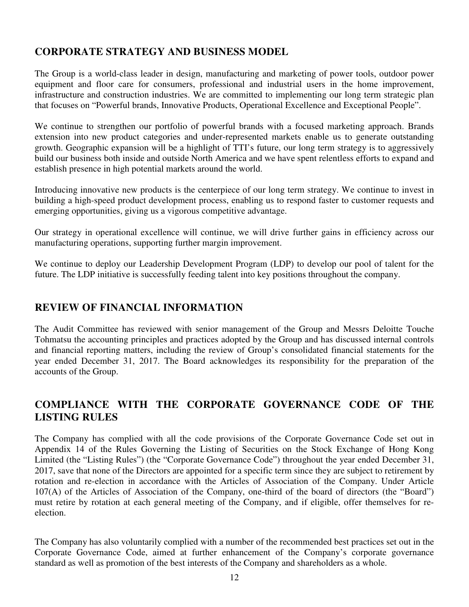# **CORPORATE STRATEGY AND BUSINESS MODEL**

The Group is a world-class leader in design, manufacturing and marketing of power tools, outdoor power equipment and floor care for consumers, professional and industrial users in the home improvement, infrastructure and construction industries. We are committed to implementing our long term strategic plan that focuses on "Powerful brands, Innovative Products, Operational Excellence and Exceptional People".

We continue to strengthen our portfolio of powerful brands with a focused marketing approach. Brands extension into new product categories and under-represented markets enable us to generate outstanding growth. Geographic expansion will be a highlight of TTI's future, our long term strategy is to aggressively build our business both inside and outside North America and we have spent relentless efforts to expand and establish presence in high potential markets around the world.

Introducing innovative new products is the centerpiece of our long term strategy. We continue to invest in building a high-speed product development process, enabling us to respond faster to customer requests and emerging opportunities, giving us a vigorous competitive advantage.

Our strategy in operational excellence will continue, we will drive further gains in efficiency across our manufacturing operations, supporting further margin improvement.

We continue to deploy our Leadership Development Program (LDP) to develop our pool of talent for the future. The LDP initiative is successfully feeding talent into key positions throughout the company.

# **REVIEW OF FINANCIAL INFORMATION**

The Audit Committee has reviewed with senior management of the Group and Messrs Deloitte Touche Tohmatsu the accounting principles and practices adopted by the Group and has discussed internal controls and financial reporting matters, including the review of Group's consolidated financial statements for the year ended December 31, 2017. The Board acknowledges its responsibility for the preparation of the accounts of the Group.

# **COMPLIANCE WITH THE CORPORATE GOVERNANCE CODE OF THE LISTING RULES**

The Company has complied with all the code provisions of the Corporate Governance Code set out in Appendix 14 of the Rules Governing the Listing of Securities on the Stock Exchange of Hong Kong Limited (the "Listing Rules") (the "Corporate Governance Code") throughout the year ended December 31, 2017, save that none of the Directors are appointed for a specific term since they are subject to retirement by rotation and re-election in accordance with the Articles of Association of the Company. Under Article 107(A) of the Articles of Association of the Company, one-third of the board of directors (the "Board") must retire by rotation at each general meeting of the Company, and if eligible, offer themselves for reelection.

The Company has also voluntarily complied with a number of the recommended best practices set out in the Corporate Governance Code, aimed at further enhancement of the Company's corporate governance standard as well as promotion of the best interests of the Company and shareholders as a whole.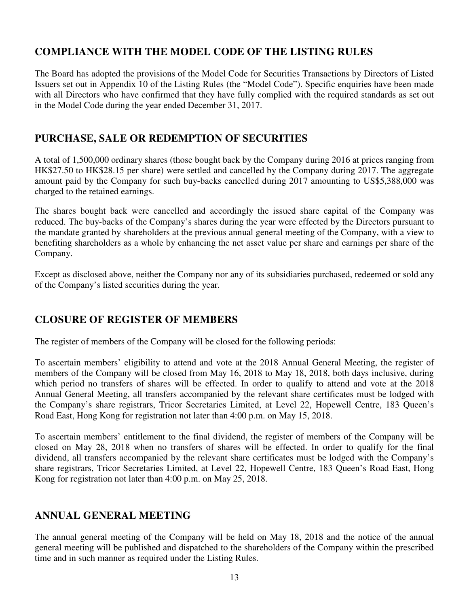# **COMPLIANCE WITH THE MODEL CODE OF THE LISTING RULES**

The Board has adopted the provisions of the Model Code for Securities Transactions by Directors of Listed Issuers set out in Appendix 10 of the Listing Rules (the "Model Code"). Specific enquiries have been made with all Directors who have confirmed that they have fully complied with the required standards as set out in the Model Code during the year ended December 31, 2017.

# **PURCHASE, SALE OR REDEMPTION OF SECURITIES**

A total of 1,500,000 ordinary shares (those bought back by the Company during 2016 at prices ranging from HK\$27.50 to HK\$28.15 per share) were settled and cancelled by the Company during 2017. The aggregate amount paid by the Company for such buy-backs cancelled during 2017 amounting to US\$5,388,000 was charged to the retained earnings.

The shares bought back were cancelled and accordingly the issued share capital of the Company was reduced. The buy-backs of the Company's shares during the year were effected by the Directors pursuant to the mandate granted by shareholders at the previous annual general meeting of the Company, with a view to benefiting shareholders as a whole by enhancing the net asset value per share and earnings per share of the Company.

Except as disclosed above, neither the Company nor any of its subsidiaries purchased, redeemed or sold any of the Company's listed securities during the year.

# **CLOSURE OF REGISTER OF MEMBERS**

The register of members of the Company will be closed for the following periods:

To ascertain members' eligibility to attend and vote at the 2018 Annual General Meeting, the register of members of the Company will be closed from May 16, 2018 to May 18, 2018, both days inclusive, during which period no transfers of shares will be effected. In order to qualify to attend and vote at the 2018 Annual General Meeting, all transfers accompanied by the relevant share certificates must be lodged with the Company's share registrars, Tricor Secretaries Limited, at Level 22, Hopewell Centre, 183 Queen's Road East, Hong Kong for registration not later than 4:00 p.m. on May 15, 2018.

To ascertain members' entitlement to the final dividend, the register of members of the Company will be closed on May 28, 2018 when no transfers of shares will be effected. In order to qualify for the final dividend, all transfers accompanied by the relevant share certificates must be lodged with the Company's share registrars, Tricor Secretaries Limited, at Level 22, Hopewell Centre, 183 Queen's Road East, Hong Kong for registration not later than 4:00 p.m. on May 25, 2018.

# **ANNUAL GENERAL MEETING**

The annual general meeting of the Company will be held on May 18, 2018 and the notice of the annual general meeting will be published and dispatched to the shareholders of the Company within the prescribed time and in such manner as required under the Listing Rules.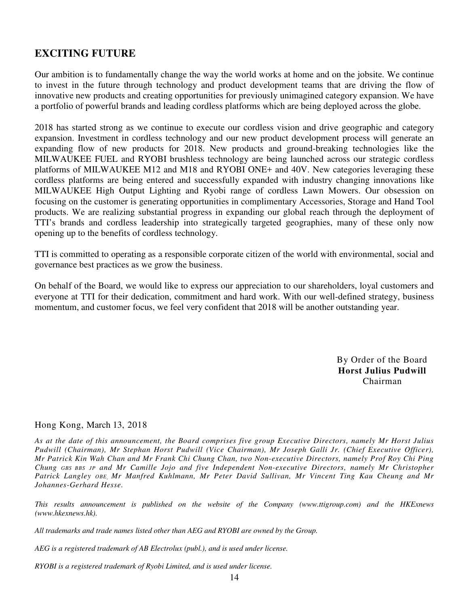# **EXCITING FUTURE**

Our ambition is to fundamentally change the way the world works at home and on the jobsite. We continue to invest in the future through technology and product development teams that are driving the flow of innovative new products and creating opportunities for previously unimagined category expansion. We have a portfolio of powerful brands and leading cordless platforms which are being deployed across the globe.

2018 has started strong as we continue to execute our cordless vision and drive geographic and category expansion. Investment in cordless technology and our new product development process will generate an expanding flow of new products for 2018. New products and ground-breaking technologies like the MILWAUKEE FUEL and RYOBI brushless technology are being launched across our strategic cordless platforms of MILWAUKEE M12 and M18 and RYOBI ONE+ and 40V. New categories leveraging these cordless platforms are being entered and successfully expanded with industry changing innovations like MILWAUKEE High Output Lighting and Ryobi range of cordless Lawn Mowers. Our obsession on focusing on the customer is generating opportunities in complimentary Accessories, Storage and Hand Tool products. We are realizing substantial progress in expanding our global reach through the deployment of TTI's brands and cordless leadership into strategically targeted geographies, many of these only now opening up to the benefits of cordless technology.

TTI is committed to operating as a responsible corporate citizen of the world with environmental, social and governance best practices as we grow the business.

On behalf of the Board, we would like to express our appreciation to our shareholders, loyal customers and everyone at TTI for their dedication, commitment and hard work. With our well-defined strategy, business momentum, and customer focus, we feel very confident that 2018 will be another outstanding year.

> By Order of the Board **Horst Julius Pudwill**  Chairman

### Hong Kong, March 13, 2018

*As at the date of this announcement, the Board comprises five group Executive Directors, namely Mr Horst Julius Pudwill (Chairman), Mr Stephan Horst Pudwill (Vice Chairman), Mr Joseph Galli Jr. (Chief Executive Officer), Mr Patrick Kin Wah Chan and Mr Frank Chi Chung Chan, two Non-executive Directors, namely Prof Roy Chi Ping Chung GBS BBS JP and Mr Camille Jojo and five Independent Non-executive Directors, namely Mr Christopher Patrick Langley OBE, Mr Manfred Kuhlmann, Mr Peter David Sullivan, Mr Vincent Ting Kau Cheung and Mr Johannes-Gerhard Hesse.*

*This results announcement is published on the website of the Company (www.ttigroup.com) and the HKExnews (www.hkexnews.hk).* 

*All trademarks and trade names listed other than AEG and RYOBI are owned by the Group.* 

*AEG is a registered trademark of AB Electrolux (publ.), and is used under license.* 

*RYOBI is a registered trademark of Ryobi Limited, and is used under license.*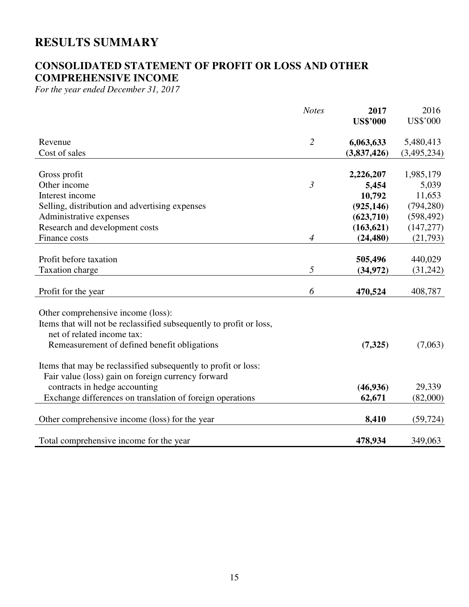# **RESULTS SUMMARY**

# **CONSOLIDATED STATEMENT OF PROFIT OR LOSS AND OTHER COMPREHENSIVE INCOME**

*For the year ended December 31, 2017* 

|                                                                     | <b>Notes</b>   | 2017            | 2016        |
|---------------------------------------------------------------------|----------------|-----------------|-------------|
|                                                                     |                | <b>US\$'000</b> | US\$'000    |
| Revenue                                                             | $\overline{2}$ | 6,063,633       | 5,480,413   |
| Cost of sales                                                       |                | (3,837,426)     | (3,495,234) |
|                                                                     |                |                 |             |
| Gross profit                                                        |                | 2,226,207       | 1,985,179   |
| Other income                                                        | $\mathfrak{Z}$ | 5,454           | 5,039       |
| Interest income                                                     |                | 10,792          | 11,653      |
| Selling, distribution and advertising expenses                      |                | (925, 146)      | (794, 280)  |
| Administrative expenses                                             |                | (623,710)       | (598, 492)  |
| Research and development costs                                      |                | (163, 621)      | (147, 277)  |
| Finance costs                                                       | $\overline{4}$ | (24, 480)       | (21,793)    |
|                                                                     |                |                 |             |
| Profit before taxation                                              |                | 505,496         | 440,029     |
| Taxation charge                                                     | 5              | (34, 972)       | (31,242)    |
|                                                                     |                |                 |             |
| Profit for the year                                                 | 6              | 470,524         | 408,787     |
| Other comprehensive income (loss):                                  |                |                 |             |
| Items that will not be reclassified subsequently to profit or loss, |                |                 |             |
| net of related income tax:                                          |                |                 |             |
| Remeasurement of defined benefit obligations                        |                | (7, 325)        | (7,063)     |
|                                                                     |                |                 |             |
| Items that may be reclassified subsequently to profit or loss:      |                |                 |             |
| Fair value (loss) gain on foreign currency forward                  |                |                 |             |
| contracts in hedge accounting                                       |                | (46,936)        | 29,339      |
| Exchange differences on translation of foreign operations           |                | 62,671          | (82,000)    |
|                                                                     |                |                 |             |
| Other comprehensive income (loss) for the year                      |                | 8,410           | (59, 724)   |
|                                                                     |                |                 |             |
| Total comprehensive income for the year                             |                | 478,934         | 349,063     |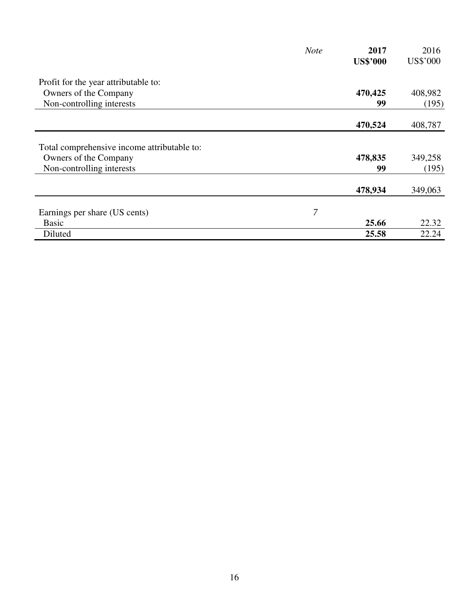|                                             | <b>Note</b> | 2017            | 2016            |
|---------------------------------------------|-------------|-----------------|-----------------|
|                                             |             | <b>US\$'000</b> | <b>US\$'000</b> |
| Profit for the year attributable to:        |             |                 |                 |
| Owners of the Company                       |             | 470,425         | 408,982         |
| Non-controlling interests                   |             | 99              | (195)           |
|                                             |             | 470,524         | 408,787         |
| Total comprehensive income attributable to: |             |                 |                 |
| Owners of the Company                       |             | 478,835         | 349,258         |
| Non-controlling interests                   |             | 99              | (195)           |
|                                             |             | 478,934         | 349,063         |
| Earnings per share (US cents)               | 7           |                 |                 |
| <b>Basic</b>                                |             | 25.66           | 22.32           |
| Diluted                                     |             | 25.58           | 22.24           |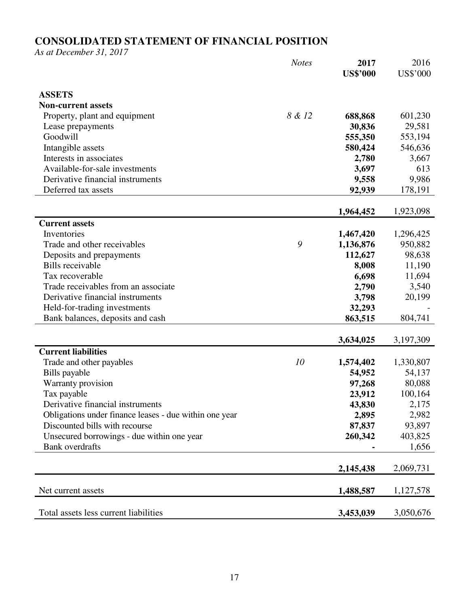# **CONSOLIDATED STATEMENT OF FINANCIAL POSITION**

*As at December 31, 2017* 

|                                                        | <b>Notes</b> | 2017<br><b>US\$'000</b> | 2016<br><b>US\$'000</b> |
|--------------------------------------------------------|--------------|-------------------------|-------------------------|
|                                                        |              |                         |                         |
| <b>ASSETS</b>                                          |              |                         |                         |
| <b>Non-current assets</b>                              |              |                         |                         |
| Property, plant and equipment                          | 8 & 12       | 688,868                 | 601,230                 |
| Lease prepayments                                      |              | 30,836                  | 29,581                  |
| Goodwill                                               |              | 555,350                 | 553,194                 |
| Intangible assets                                      |              | 580,424                 | 546,636                 |
| Interests in associates                                |              | 2,780                   | 3,667                   |
| Available-for-sale investments                         |              | 3,697                   | 613                     |
| Derivative financial instruments                       |              | 9,558                   | 9,986                   |
| Deferred tax assets                                    |              | 92,939                  | 178,191                 |
|                                                        |              |                         |                         |
|                                                        |              | 1,964,452               | 1,923,098               |
| <b>Current assets</b>                                  |              |                         |                         |
| Inventories                                            |              | 1,467,420               | 1,296,425               |
| Trade and other receivables                            | 9            | 1,136,876               | 950,882                 |
| Deposits and prepayments                               |              | 112,627                 | 98,638                  |
| <b>Bills</b> receivable                                |              | 8,008                   | 11,190                  |
| Tax recoverable                                        |              | 6,698                   | 11,694                  |
| Trade receivables from an associate                    |              | 2,790                   | 3,540                   |
| Derivative financial instruments                       |              | 3,798                   | 20,199                  |
| Held-for-trading investments                           |              | 32,293                  |                         |
| Bank balances, deposits and cash                       |              | 863,515                 | 804,741                 |
|                                                        |              |                         |                         |
|                                                        |              | 3,634,025               | 3,197,309               |
| <b>Current liabilities</b>                             |              |                         |                         |
| Trade and other payables                               | 10           | 1,574,402               | 1,330,807               |
| Bills payable                                          |              | 54,952                  | 54,137                  |
| Warranty provision                                     |              | 97,268                  | 80,088                  |
| Tax payable                                            |              | 23,912                  | 100,164                 |
| Derivative financial instruments                       |              | 43,830                  | 2,175                   |
| Obligations under finance leases - due within one year |              | 2,895                   | 2,982                   |
| Discounted bills with recourse                         |              | 87,837                  | 93,897                  |
| Unsecured borrowings - due within one year             |              | 260,342                 | 403,825                 |
| <b>Bank</b> overdrafts                                 |              |                         | 1,656                   |
|                                                        |              |                         |                         |
|                                                        |              | 2,145,438               | 2,069,731               |
|                                                        |              |                         |                         |
| Net current assets                                     |              | 1,488,587               | 1,127,578               |
|                                                        |              |                         |                         |
| Total assets less current liabilities                  |              | 3,453,039               | 3,050,676               |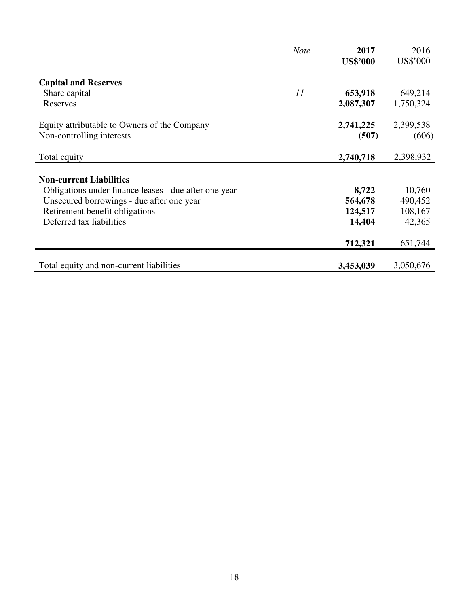|                                                                           | <b>Note</b> | 2017               | 2016               |
|---------------------------------------------------------------------------|-------------|--------------------|--------------------|
|                                                                           |             | <b>US\$'000</b>    | US\$'000           |
| <b>Capital and Reserves</b>                                               |             |                    |                    |
| Share capital                                                             | 11          | 653,918            | 649,214            |
| Reserves                                                                  |             | 2,087,307          | 1,750,324          |
| Equity attributable to Owners of the Company<br>Non-controlling interests |             | 2,741,225<br>(507) | 2,399,538<br>(606) |
|                                                                           |             |                    |                    |
| Total equity                                                              |             | 2,740,718          | 2,398,932          |
| <b>Non-current Liabilities</b>                                            |             |                    |                    |
| Obligations under finance leases - due after one year                     |             | 8,722              | 10,760             |
| Unsecured borrowings - due after one year                                 |             | 564,678            | 490,452            |
| Retirement benefit obligations                                            |             | 124,517            | 108,167            |
| Deferred tax liabilities                                                  |             | 14,404             | 42,365             |
|                                                                           |             | 712,321            | 651,744            |
| Total equity and non-current liabilities                                  |             | 3,453,039          | 3,050,676          |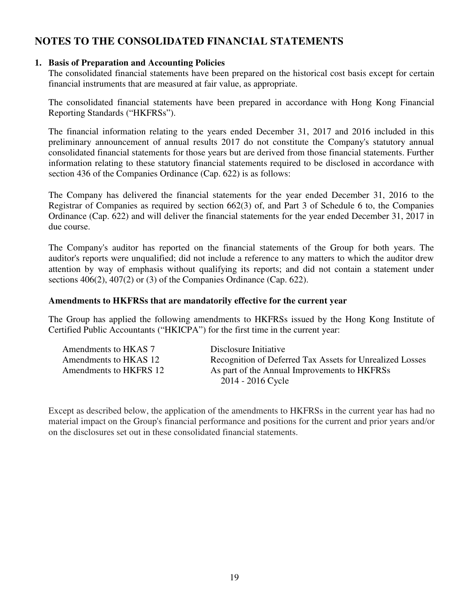# **NOTES TO THE CONSOLIDATED FINANCIAL STATEMENTS**

### **1. Basis of Preparation and Accounting Policies**

The consolidated financial statements have been prepared on the historical cost basis except for certain financial instruments that are measured at fair value, as appropriate.

The consolidated financial statements have been prepared in accordance with Hong Kong Financial Reporting Standards ("HKFRSs").

The financial information relating to the years ended December 31, 2017 and 2016 included in this preliminary announcement of annual results 2017 do not constitute the Company's statutory annual consolidated financial statements for those years but are derived from those financial statements. Further information relating to these statutory financial statements required to be disclosed in accordance with section 436 of the Companies Ordinance (Cap. 622) is as follows:

The Company has delivered the financial statements for the year ended December 31, 2016 to the Registrar of Companies as required by section 662(3) of, and Part 3 of Schedule 6 to, the Companies Ordinance (Cap. 622) and will deliver the financial statements for the year ended December 31, 2017 in due course.

The Company's auditor has reported on the financial statements of the Group for both years. The auditor's reports were unqualified; did not include a reference to any matters to which the auditor drew attention by way of emphasis without qualifying its reports; and did not contain a statement under sections 406(2), 407(2) or (3) of the Companies Ordinance (Cap. 622).

### **Amendments to HKFRSs that are mandatorily effective for the current year**

The Group has applied the following amendments to HKFRSs issued by the Hong Kong Institute of Certified Public Accountants ("HKICPA") for the first time in the current year:

| Amendments to HKAS 7   | Disclosure Initiative                                    |
|------------------------|----------------------------------------------------------|
| Amendments to HKAS 12  | Recognition of Deferred Tax Assets for Unrealized Losses |
| Amendments to HKFRS 12 | As part of the Annual Improvements to HKFRSs             |
|                        | 2014 - 2016 Cycle                                        |

Except as described below, the application of the amendments to HKFRSs in the current year has had no material impact on the Group's financial performance and positions for the current and prior years and/or on the disclosures set out in these consolidated financial statements.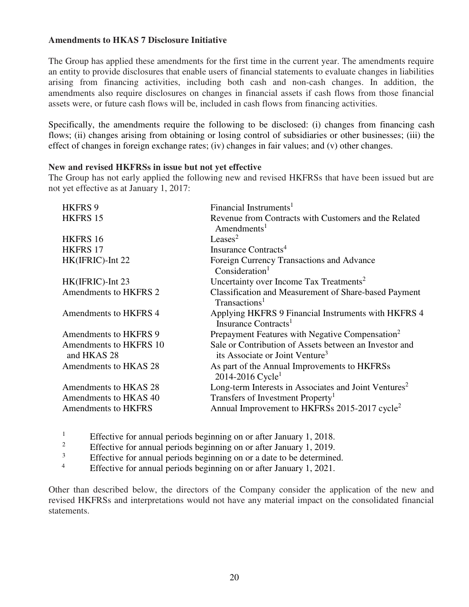### **Amendments to HKAS 7 Disclosure Initiative**

The Group has applied these amendments for the first time in the current year. The amendments require an entity to provide disclosures that enable users of financial statements to evaluate changes in liabilities arising from financing activities, including both cash and non-cash changes. In addition, the amendments also require disclosures on changes in financial assets if cash flows from those financial assets were, or future cash flows will be, included in cash flows from financing activities.

Specifically, the amendments require the following to be disclosed: (i) changes from financing cash flows; (ii) changes arising from obtaining or losing control of subsidiaries or other businesses; (iii) the effect of changes in foreign exchange rates; (iv) changes in fair values; and (v) other changes.

### **New and revised HKFRSs in issue but not yet effective**

The Group has not early applied the following new and revised HKFRSs that have been issued but are not yet effective as at January 1, 2017:

| Financial Instruments <sup>1</sup>                                                                    |
|-------------------------------------------------------------------------------------------------------|
| Revenue from Contracts with Customers and the Related<br>$A$ mendments <sup>1</sup>                   |
| Leases <sup>2</sup>                                                                                   |
| Insurance Contracts <sup>4</sup>                                                                      |
| Foreign Currency Transactions and Advance<br>Consideration <sup>1</sup>                               |
| Uncertainty over Income Tax Treatments <sup>2</sup>                                                   |
| Classification and Measurement of Share-based Payment<br>Transactions <sup>1</sup>                    |
| Applying HKFRS 9 Financial Instruments with HKFRS 4<br>Insurance Contracts <sup>1</sup>               |
| Prepayment Features with Negative Compensation <sup>2</sup>                                           |
| Sale or Contribution of Assets between an Investor and<br>its Associate or Joint Venture <sup>3</sup> |
| As part of the Annual Improvements to HKFRSs<br>2014-2016 Cycle <sup>1</sup>                          |
| Long-term Interests in Associates and Joint Ventures <sup>2</sup>                                     |
| Transfers of Investment Property <sup>1</sup>                                                         |
| Annual Improvement to HKFRSs 2015-2017 cycle <sup>2</sup>                                             |
|                                                                                                       |

1 Effective for annual periods beginning on or after January 1, 2018.

2 Effective for annual periods beginning on or after January 1, 2019.

3 Effective for annual periods beginning on or a date to be determined.

4 Effective for annual periods beginning on or after January 1, 2021.

Other than described below, the directors of the Company consider the application of the new and revised HKFRSs and interpretations would not have any material impact on the consolidated financial statements.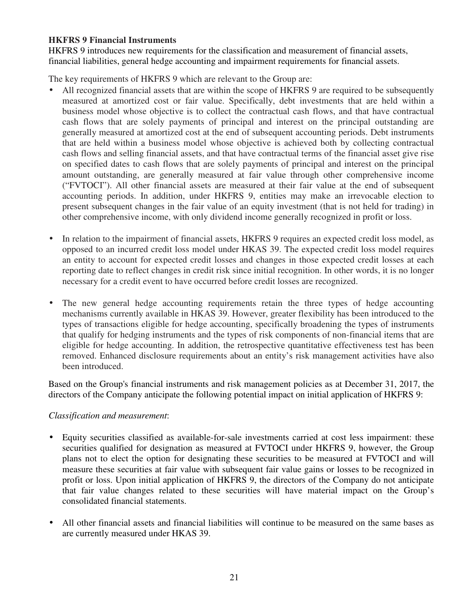### **HKFRS 9 Financial Instruments**

HKFRS 9 introduces new requirements for the classification and measurement of financial assets, financial liabilities, general hedge accounting and impairment requirements for financial assets.

The key requirements of HKFRS 9 which are relevant to the Group are:

- All recognized financial assets that are within the scope of HKFRS 9 are required to be subsequently measured at amortized cost or fair value. Specifically, debt investments that are held within a business model whose objective is to collect the contractual cash flows, and that have contractual cash flows that are solely payments of principal and interest on the principal outstanding are generally measured at amortized cost at the end of subsequent accounting periods. Debt instruments that are held within a business model whose objective is achieved both by collecting contractual cash flows and selling financial assets, and that have contractual terms of the financial asset give rise on specified dates to cash flows that are solely payments of principal and interest on the principal amount outstanding, are generally measured at fair value through other comprehensive income ("FVTOCI"). All other financial assets are measured at their fair value at the end of subsequent accounting periods. In addition, under HKFRS 9, entities may make an irrevocable election to present subsequent changes in the fair value of an equity investment (that is not held for trading) in other comprehensive income, with only dividend income generally recognized in profit or loss.
- In relation to the impairment of financial assets, HKFRS 9 requires an expected credit loss model, as opposed to an incurred credit loss model under HKAS 39. The expected credit loss model requires an entity to account for expected credit losses and changes in those expected credit losses at each reporting date to reflect changes in credit risk since initial recognition. In other words, it is no longer necessary for a credit event to have occurred before credit losses are recognized.
- The new general hedge accounting requirements retain the three types of hedge accounting mechanisms currently available in HKAS 39. However, greater flexibility has been introduced to the types of transactions eligible for hedge accounting, specifically broadening the types of instruments that qualify for hedging instruments and the types of risk components of non-financial items that are eligible for hedge accounting. In addition, the retrospective quantitative effectiveness test has been removed. Enhanced disclosure requirements about an entity's risk management activities have also been introduced.

Based on the Group's financial instruments and risk management policies as at December 31, 2017, the directors of the Company anticipate the following potential impact on initial application of HKFRS 9:

### *Classification and measurement*:

- Equity securities classified as available-for-sale investments carried at cost less impairment: these securities qualified for designation as measured at FVTOCI under HKFRS 9, however, the Group plans not to elect the option for designating these securities to be measured at FVTOCI and will measure these securities at fair value with subsequent fair value gains or losses to be recognized in profit or loss. Upon initial application of HKFRS 9, the directors of the Company do not anticipate that fair value changes related to these securities will have material impact on the Group's consolidated financial statements.
- All other financial assets and financial liabilities will continue to be measured on the same bases as are currently measured under HKAS 39.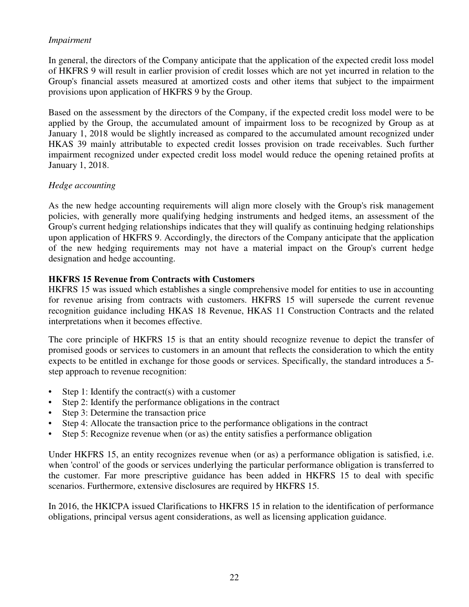### *Impairment*

In general, the directors of the Company anticipate that the application of the expected credit loss model of HKFRS 9 will result in earlier provision of credit losses which are not yet incurred in relation to the Group's financial assets measured at amortized costs and other items that subject to the impairment provisions upon application of HKFRS 9 by the Group.

Based on the assessment by the directors of the Company, if the expected credit loss model were to be applied by the Group, the accumulated amount of impairment loss to be recognized by Group as at January 1, 2018 would be slightly increased as compared to the accumulated amount recognized under HKAS 39 mainly attributable to expected credit losses provision on trade receivables. Such further impairment recognized under expected credit loss model would reduce the opening retained profits at January 1, 2018.

### *Hedge accounting*

As the new hedge accounting requirements will align more closely with the Group's risk management policies, with generally more qualifying hedging instruments and hedged items, an assessment of the Group's current hedging relationships indicates that they will qualify as continuing hedging relationships upon application of HKFRS 9. Accordingly, the directors of the Company anticipate that the application of the new hedging requirements may not have a material impact on the Group's current hedge designation and hedge accounting.

### **HKFRS 15 Revenue from Contracts with Customers**

HKFRS 15 was issued which establishes a single comprehensive model for entities to use in accounting for revenue arising from contracts with customers. HKFRS 15 will supersede the current revenue recognition guidance including HKAS 18 Revenue, HKAS 11 Construction Contracts and the related interpretations when it becomes effective.

The core principle of HKFRS 15 is that an entity should recognize revenue to depict the transfer of promised goods or services to customers in an amount that reflects the consideration to which the entity expects to be entitled in exchange for those goods or services. Specifically, the standard introduces a 5 step approach to revenue recognition:

- Step 1: Identify the contract(s) with a customer
- Step 2: Identify the performance obligations in the contract
- Step 3: Determine the transaction price
- Step 4: Allocate the transaction price to the performance obligations in the contract
- Step 5: Recognize revenue when (or as) the entity satisfies a performance obligation

Under HKFRS 15, an entity recognizes revenue when (or as) a performance obligation is satisfied, i.e. when 'control' of the goods or services underlying the particular performance obligation is transferred to the customer. Far more prescriptive guidance has been added in HKFRS 15 to deal with specific scenarios. Furthermore, extensive disclosures are required by HKFRS 15.

In 2016, the HKICPA issued Clarifications to HKFRS 15 in relation to the identification of performance obligations, principal versus agent considerations, as well as licensing application guidance.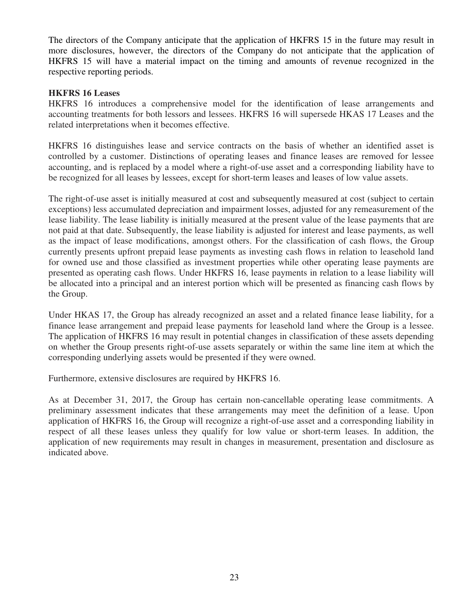The directors of the Company anticipate that the application of HKFRS 15 in the future may result in more disclosures, however, the directors of the Company do not anticipate that the application of HKFRS 15 will have a material impact on the timing and amounts of revenue recognized in the respective reporting periods.

### **HKFRS 16 Leases**

HKFRS 16 introduces a comprehensive model for the identification of lease arrangements and accounting treatments for both lessors and lessees. HKFRS 16 will supersede HKAS 17 Leases and the related interpretations when it becomes effective.

HKFRS 16 distinguishes lease and service contracts on the basis of whether an identified asset is controlled by a customer. Distinctions of operating leases and finance leases are removed for lessee accounting, and is replaced by a model where a right-of-use asset and a corresponding liability have to be recognized for all leases by lessees, except for short-term leases and leases of low value assets.

The right-of-use asset is initially measured at cost and subsequently measured at cost (subject to certain exceptions) less accumulated depreciation and impairment losses, adjusted for any remeasurement of the lease liability. The lease liability is initially measured at the present value of the lease payments that are not paid at that date. Subsequently, the lease liability is adjusted for interest and lease payments, as well as the impact of lease modifications, amongst others. For the classification of cash flows, the Group currently presents upfront prepaid lease payments as investing cash flows in relation to leasehold land for owned use and those classified as investment properties while other operating lease payments are presented as operating cash flows. Under HKFRS 16, lease payments in relation to a lease liability will be allocated into a principal and an interest portion which will be presented as financing cash flows by the Group.

Under HKAS 17, the Group has already recognized an asset and a related finance lease liability, for a finance lease arrangement and prepaid lease payments for leasehold land where the Group is a lessee. The application of HKFRS 16 may result in potential changes in classification of these assets depending on whether the Group presents right-of-use assets separately or within the same line item at which the corresponding underlying assets would be presented if they were owned.

Furthermore, extensive disclosures are required by HKFRS 16.

As at December 31, 2017, the Group has certain non-cancellable operating lease commitments. A preliminary assessment indicates that these arrangements may meet the definition of a lease. Upon application of HKFRS 16, the Group will recognize a right-of-use asset and a corresponding liability in respect of all these leases unless they qualify for low value or short-term leases. In addition, the application of new requirements may result in changes in measurement, presentation and disclosure as indicated above.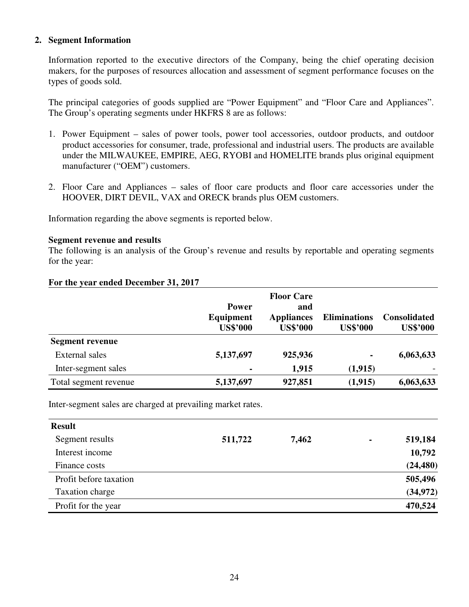### **2. Segment Information**

Information reported to the executive directors of the Company, being the chief operating decision makers, for the purposes of resources allocation and assessment of segment performance focuses on the types of goods sold.

The principal categories of goods supplied are "Power Equipment" and "Floor Care and Appliances". The Group's operating segments under HKFRS 8 are as follows:

- 1. Power Equipment sales of power tools, power tool accessories, outdoor products, and outdoor product accessories for consumer, trade, professional and industrial users. The products are available under the MILWAUKEE, EMPIRE, AEG, RYOBI and HOMELITE brands plus original equipment manufacturer ("OEM") customers.
- 2. Floor Care and Appliances sales of floor care products and floor care accessories under the HOOVER, DIRT DEVIL, VAX and ORECK brands plus OEM customers.

Information regarding the above segments is reported below.

#### **Segment revenue and results**

The following is an analysis of the Group's revenue and results by reportable and operating segments for the year:

|                        | <b>Power</b><br>Equipment<br><b>US\$'000</b> | <b>Floor Care</b><br>and<br><b>Appliances</b><br><b>US\$'000</b> | <b>Eliminations</b><br><b>US\$'000</b> | <b>Consolidated</b><br><b>US\$'000</b> |
|------------------------|----------------------------------------------|------------------------------------------------------------------|----------------------------------------|----------------------------------------|
| <b>Segment revenue</b> |                                              |                                                                  |                                        |                                        |
| <b>External sales</b>  | 5,137,697                                    | 925,936                                                          | ۰                                      | 6,063,633                              |
| Inter-segment sales    | $\blacksquare$                               | 1,915                                                            | (1, 915)                               |                                        |
| Total segment revenue  | 5,137,697                                    | 927,851                                                          | (1,915)                                | 6,063,633                              |

#### **For the year ended December 31, 2017**

Inter-segment sales are charged at prevailing market rates.

| <b>Result</b>          |         |       |                |           |
|------------------------|---------|-------|----------------|-----------|
| Segment results        | 511,722 | 7,462 | $\blacksquare$ | 519,184   |
| Interest income        |         |       |                | 10,792    |
| Finance costs          |         |       |                | (24, 480) |
| Profit before taxation |         |       |                | 505,496   |
| Taxation charge        |         |       |                | (34, 972) |
| Profit for the year    |         |       |                | 470,524   |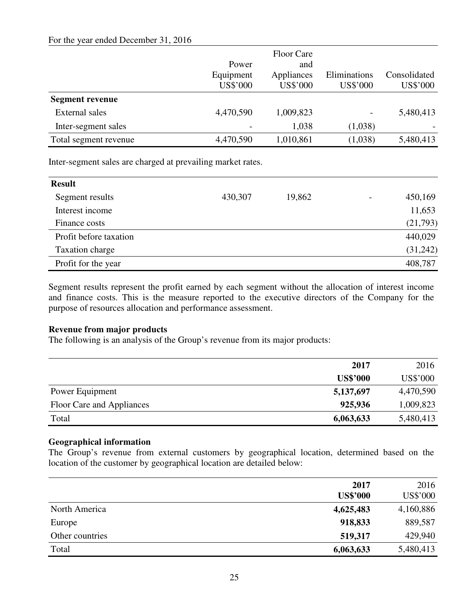### For the year ended December 31, 2016

|                        |           | <b>Floor Care</b> |              |              |
|------------------------|-----------|-------------------|--------------|--------------|
|                        | Power     | and               |              |              |
|                        | Equipment | Appliances        | Eliminations | Consolidated |
|                        | US\$'000  | US\$'000          | US\$'000     | US\$'000     |
| <b>Segment revenue</b> |           |                   |              |              |
| <b>External sales</b>  | 4,470,590 | 1,009,823         | -            | 5,480,413    |
| Inter-segment sales    |           | 1,038             | (1,038)      |              |
| Total segment revenue  | 4,470,590 | 1,010,861         | (1,038)      | 5,480,413    |

Inter-segment sales are charged at prevailing market rates.

| <b>Result</b>          |         |        |          |
|------------------------|---------|--------|----------|
| Segment results        | 430,307 | 19,862 | 450,169  |
| Interest income        |         |        | 11,653   |
| Finance costs          |         |        | (21,793) |
| Profit before taxation |         |        | 440,029  |
| Taxation charge        |         |        | (31,242) |
| Profit for the year    |         |        | 408,787  |

Segment results represent the profit earned by each segment without the allocation of interest income and finance costs. This is the measure reported to the executive directors of the Company for the purpose of resources allocation and performance assessment.

### **Revenue from major products**

The following is an analysis of the Group's revenue from its major products:

|                           | 2017            | 2016      |
|---------------------------|-----------------|-----------|
|                           | <b>US\$'000</b> | US\$'000  |
| Power Equipment           | 5,137,697       | 4,470,590 |
| Floor Care and Appliances | 925,936         | 1,009,823 |
| Total                     | 6,063,633       | 5,480,413 |

### **Geographical information**

The Group's revenue from external customers by geographical location, determined based on the location of the customer by geographical location are detailed below:

|                 | 2017<br><b>US\$'000</b> | 2016<br>US\$'000 |
|-----------------|-------------------------|------------------|
| North America   | 4,625,483               | 4,160,886        |
| Europe          | 918,833                 | 889,587          |
| Other countries | 519,317                 | 429,940          |
| Total           | 6,063,633               | 5,480,413        |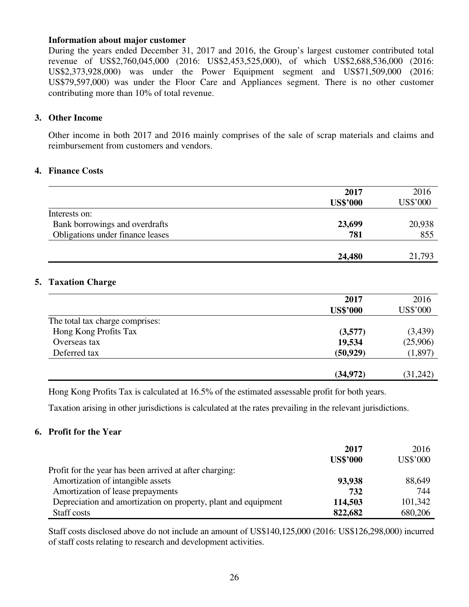#### **Information about major customer**

During the years ended December 31, 2017 and 2016, the Group's largest customer contributed total revenue of US\$2,760,045,000 (2016: US\$2,453,525,000), of which US\$2,688,536,000 (2016: US\$2,373,928,000) was under the Power Equipment segment and US\$71,509,000 (2016: US\$79,597,000) was under the Floor Care and Appliances segment. There is no other customer contributing more than 10% of total revenue.

#### **3. Other Income**

Other income in both 2017 and 2016 mainly comprises of the sale of scrap materials and claims and reimbursement from customers and vendors.

#### **4. Finance Costs**

|                                  | 2017            | 2016     |
|----------------------------------|-----------------|----------|
|                                  | <b>US\$'000</b> | US\$'000 |
| Interests on:                    |                 |          |
| Bank borrowings and overdrafts   | 23,699          | 20,938   |
| Obligations under finance leases | 781             | 855      |
|                                  |                 |          |
|                                  | 24,480          | 21,793   |

### **5. Taxation Charge**

|                                 | 2017            | 2016     |
|---------------------------------|-----------------|----------|
|                                 | <b>US\$'000</b> | US\$'000 |
| The total tax charge comprises: |                 |          |
| Hong Kong Profits Tax           | (3,577)         | (3,439)  |
| Overseas tax                    | 19,534          | (25,906) |
| Deferred tax                    | (50, 929)       | (1,897)  |
|                                 | (34, 972)       | (31,242) |

Hong Kong Profits Tax is calculated at 16.5% of the estimated assessable profit for both years.

Taxation arising in other jurisdictions is calculated at the rates prevailing in the relevant jurisdictions.

### **6. Profit for the Year**

|                                                                | 2017<br><b>US\$'000</b> | 2016<br><b>US\$'000</b> |
|----------------------------------------------------------------|-------------------------|-------------------------|
| Profit for the year has been arrived at after charging:        |                         |                         |
| Amortization of intangible assets                              | 93,938                  | 88,649                  |
| Amortization of lease prepayments                              | 732                     | 744                     |
| Depreciation and amortization on property, plant and equipment | 114,503                 | 101,342                 |
| Staff costs                                                    | 822,682                 | 680,206                 |

Staff costs disclosed above do not include an amount of US\$140,125,000 (2016: US\$126,298,000) incurred of staff costs relating to research and development activities.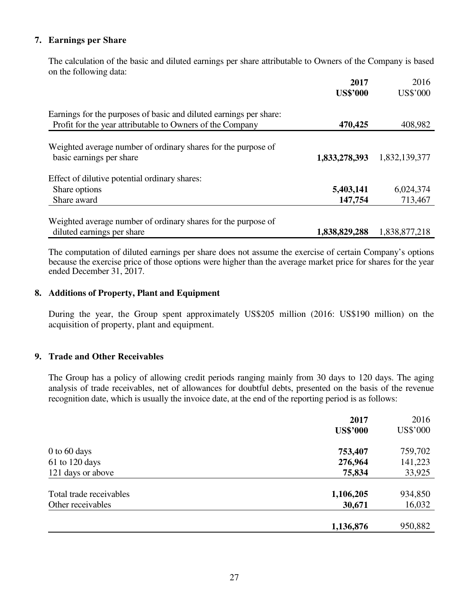### **7. Earnings per Share**

 The calculation of the basic and diluted earnings per share attributable to Owners of the Company is based on the following data:

|                                                                                                                                 | 2017<br><b>US\$'000</b> | 2016<br><b>US\$'000</b> |
|---------------------------------------------------------------------------------------------------------------------------------|-------------------------|-------------------------|
| Earnings for the purposes of basic and diluted earnings per share:<br>Profit for the year attributable to Owners of the Company | 470,425                 | 408,982                 |
| Weighted average number of ordinary shares for the purpose of<br>basic earnings per share                                       | 1,833,278,393           | 1,832,139,377           |
| Effect of dilutive potential ordinary shares:                                                                                   |                         |                         |
| Share options                                                                                                                   | 5,403,141               | 6,024,374               |
| Share award                                                                                                                     | 147,754                 | 713,467                 |
| Weighted average number of ordinary shares for the purpose of<br>diluted earnings per share                                     | 1,838,829,288           | 1,838,877,218           |

 The computation of diluted earnings per share does not assume the exercise of certain Company's options because the exercise price of those options were higher than the average market price for shares for the year ended December 31, 2017.

### **8. Additions of Property, Plant and Equipment**

 During the year, the Group spent approximately US\$205 million (2016: US\$190 million) on the acquisition of property, plant and equipment.

### **9. Trade and Other Receivables**

The Group has a policy of allowing credit periods ranging mainly from 30 days to 120 days. The aging analysis of trade receivables, net of allowances for doubtful debts, presented on the basis of the revenue recognition date, which is usually the invoice date, at the end of the reporting period is as follows:

|                         | 2017            | 2016     |
|-------------------------|-----------------|----------|
|                         | <b>US\$'000</b> | US\$'000 |
| $0$ to 60 days          | 753,407         | 759,702  |
| $61$ to 120 days        | 276,964         | 141,223  |
| 121 days or above       | 75,834          | 33,925   |
| Total trade receivables | 1,106,205       | 934,850  |
| Other receivables       | 30,671          | 16,032   |
|                         |                 |          |
|                         | 1,136,876       | 950,882  |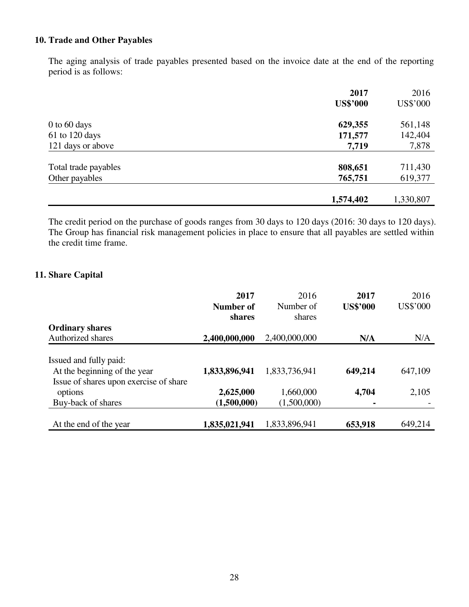### **10. Trade and Other Payables**

The aging analysis of trade payables presented based on the invoice date at the end of the reporting period is as follows:

|                      | 2017            | 2016      |
|----------------------|-----------------|-----------|
|                      | <b>US\$'000</b> | US\$'000  |
| $0$ to 60 days       | 629,355         | 561,148   |
| 61 to 120 days       | 171,577         | 142,404   |
| 121 days or above    | 7,719           | 7,878     |
| Total trade payables | 808,651         | 711,430   |
| Other payables       | 765,751         | 619,377   |
|                      |                 |           |
|                      | 1,574,402       | 1,330,807 |

The credit period on the purchase of goods ranges from 30 days to 120 days (2016: 30 days to 120 days). The Group has financial risk management policies in place to ensure that all payables are settled within the credit time frame.

### **11. Share Capital**

|                                                                        | 2017             | 2016          | 2017            | 2016     |
|------------------------------------------------------------------------|------------------|---------------|-----------------|----------|
|                                                                        | <b>Number of</b> | Number of     | <b>US\$'000</b> | US\$'000 |
|                                                                        | shares           | shares        |                 |          |
| <b>Ordinary shares</b>                                                 |                  |               |                 |          |
| Authorized shares                                                      | 2,400,000,000    | 2,400,000,000 | N/A             | N/A      |
| Issued and fully paid:                                                 |                  |               |                 |          |
| At the beginning of the year<br>Issue of shares upon exercise of share | 1,833,896,941    | 1,833,736,941 | 649,214         | 647,109  |
| options                                                                | 2,625,000        | 1,660,000     | 4,704           | 2,105    |
| Buy-back of shares                                                     | (1,500,000)      | (1,500,000)   | $\blacksquare$  |          |
|                                                                        |                  |               |                 |          |
| At the end of the year                                                 | 1,835,021,941    | 1,833,896,941 | 653,918         | 649,214  |